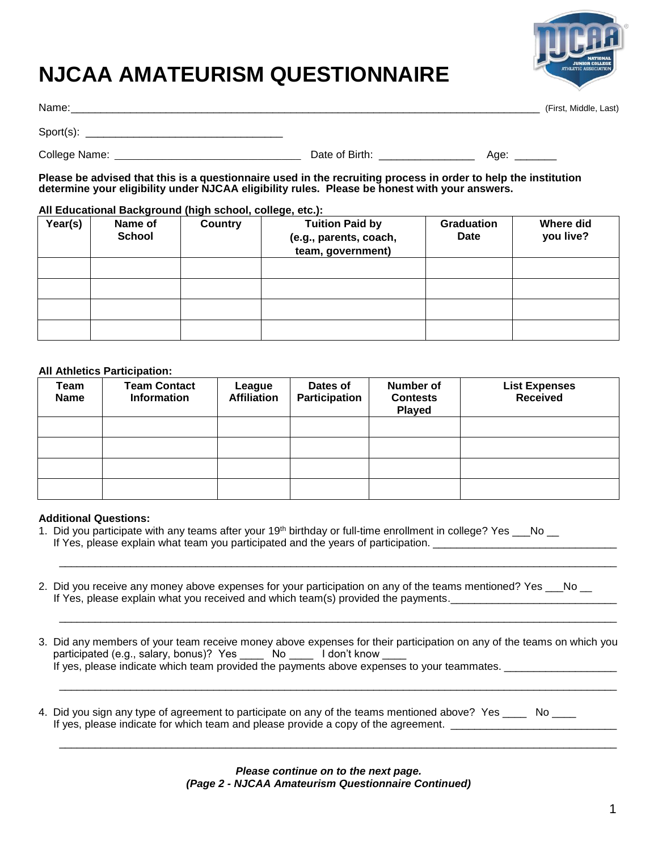# **NJCAA AMATEURISM QUESTIONNAIRE**



Name:\_\_\_\_\_\_\_\_\_\_\_\_\_\_\_\_\_\_\_\_\_\_\_\_\_\_\_\_\_\_\_\_\_\_\_\_\_\_\_\_\_\_\_\_\_\_\_\_\_\_\_\_\_\_\_\_\_\_\_\_\_\_\_\_\_\_\_\_\_\_\_\_\_\_\_\_\_\_\_ (First, Middle, Last)

| N | vame |  |  |
|---|------|--|--|
|   |      |  |  |

Sport(s): \_\_\_\_\_\_\_\_\_\_\_\_\_\_\_\_\_\_\_\_\_\_\_\_\_\_\_\_\_\_\_\_\_

College Name: \_\_\_\_\_\_\_\_\_\_\_\_\_\_\_\_\_\_\_\_\_\_\_\_\_\_\_\_\_\_\_\_\_\_\_\_\_\_\_ Date of Birth: \_\_\_\_\_\_\_\_\_\_\_\_\_\_\_\_ Age: \_\_\_\_\_\_\_

 **determine your eligibility under NJCAA eligibility rules. Please be honest with your answers. Please be advised that this is a questionnaire used in the recruiting process in order to help the institution** 

## **All Educational Background (high school, college, etc.):**

| Year(s) | Name of<br><b>School</b> | <b>Country</b> | <b>Tuition Paid by</b><br>(e.g., parents, coach,<br>team, government) | <b>Graduation</b><br>Date | <b>Where did</b><br>you live? |
|---------|--------------------------|----------------|-----------------------------------------------------------------------|---------------------------|-------------------------------|
|         |                          |                |                                                                       |                           |                               |
|         |                          |                |                                                                       |                           |                               |
|         |                          |                |                                                                       |                           |                               |
|         |                          |                |                                                                       |                           |                               |

## **All Athletics Participation:**

| Team<br><b>Name</b> | <b>Team Contact</b><br><b>Information</b> | League<br><b>Affiliation</b> | Dates of<br>Participation | <b>Number of</b><br><b>Contests</b><br>Played | <b>List Expenses</b><br><b>Received</b> |
|---------------------|-------------------------------------------|------------------------------|---------------------------|-----------------------------------------------|-----------------------------------------|
|                     |                                           |                              |                           |                                               |                                         |
|                     |                                           |                              |                           |                                               |                                         |
|                     |                                           |                              |                           |                                               |                                         |
|                     |                                           |                              |                           |                                               |                                         |

#### **Additional Questions:**

- 1. Did you participate with any teams after your 19<sup>th</sup> birthday or full-time enrollment in college? Yes  $\_\_\_N$ No  $\_\_\_\$ If Yes, please explain what team you participated and the years of participation. \_\_\_\_\_\_\_\_\_\_\_\_\_\_\_\_\_\_\_\_\_\_\_\_\_\_\_\_\_
- 2. Did you receive any money above expenses for your participation on any of the teams mentioned? Yes \_\_\_No \_\_ If Yes, please explain what you received and which team(s) provided the payments.
- 3. Did any members of your team receive money above expenses for their participation on any of the teams on which you participated (e.g., salary, bonus)? Yes \_\_\_\_ No \_\_\_\_ I don't know \_ If yes, please indicate which team provided the payments above expenses to your teammates. \_\_\_\_\_\_\_\_\_\_\_\_\_\_\_\_\_\_\_

\_\_\_\_\_\_\_\_\_\_\_\_\_\_\_\_\_\_\_\_\_\_\_\_\_\_\_\_\_\_\_\_\_\_\_\_\_\_\_\_\_\_\_\_\_\_\_\_\_\_\_\_\_\_\_\_\_\_\_\_\_\_\_\_\_\_\_\_\_\_\_\_\_\_\_\_\_\_\_\_\_\_\_\_\_\_\_\_\_\_\_\_\_\_

\_\_\_\_\_\_\_\_\_\_\_\_\_\_\_\_\_\_\_\_\_\_\_\_\_\_\_\_\_\_\_\_\_\_\_\_\_\_\_\_\_\_\_\_\_\_\_\_\_\_\_\_\_\_\_\_\_\_\_\_\_\_\_\_\_\_\_\_\_\_\_\_\_\_\_\_\_\_\_\_\_\_\_\_\_\_\_\_\_\_\_\_\_\_

\_\_\_\_\_\_\_\_\_\_\_\_\_\_\_\_\_\_\_\_\_\_\_\_\_\_\_\_\_\_\_\_\_\_\_\_\_\_\_\_\_\_\_\_\_\_\_\_\_\_\_\_\_\_\_\_\_\_\_\_\_\_\_\_\_\_\_\_\_\_\_\_\_\_\_\_\_\_\_\_\_\_\_\_\_\_\_\_\_\_\_\_\_\_

\_\_\_\_\_\_\_\_\_\_\_\_\_\_\_\_\_\_\_\_\_\_\_\_\_\_\_\_\_\_\_\_\_\_\_\_\_\_\_\_\_\_\_\_\_\_\_\_\_\_\_\_\_\_\_\_\_\_\_\_\_\_\_\_\_\_\_\_\_\_\_\_\_\_\_\_\_\_\_\_\_\_\_\_\_\_\_\_\_\_\_\_\_\_

4. Did you sign any type of agreement to participate on any of the teams mentioned above? Yes \_\_\_\_ No \_\_\_\_ If yes, please indicate for which team and please provide a copy of the agreement. \_\_\_\_\_\_\_\_\_\_\_\_\_\_\_\_\_\_\_\_\_\_\_\_\_\_\_

> *(Page 2 - NJCAA Amateurism Questionnaire Continued) Please continue on to the next page.*